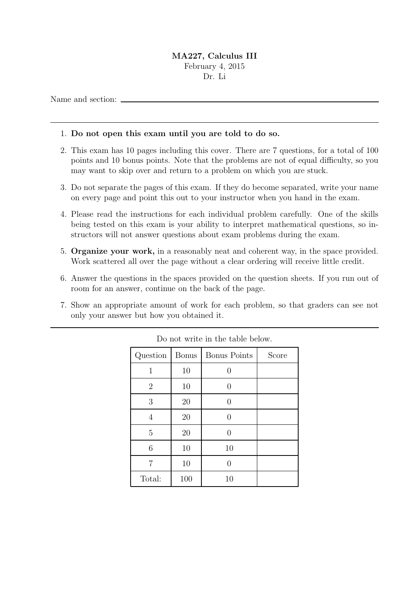## MA227, Calculus III February 4, 2015

Dr. Li

Name and section:

## 1. Do not open this exam until you are told to do so.

- 2. This exam has 10 pages including this cover. There are 7 questions, for a total of 100 points and 10 bonus points. Note that the problems are not of equal difficulty, so you may want to skip over and return to a problem on which you are stuck.
- 3. Do not separate the pages of this exam. If they do become separated, write your name on every page and point this out to your instructor when you hand in the exam.
- 4. Please read the instructions for each individual problem carefully. One of the skills being tested on this exam is your ability to interpret mathematical questions, so instructors will not answer questions about exam problems during the exam.
- 5. Organize your work, in a reasonably neat and coherent way, in the space provided. Work scattered all over the page without a clear ordering will receive little credit.
- 6. Answer the questions in the spaces provided on the question sheets. If you run out of room for an answer, continue on the back of the page.
- 7. Show an appropriate amount of work for each problem, so that graders can see not only your answer but how you obtained it.

| Question       | <b>Bonus</b> | <b>Bonus Points</b> | Score |
|----------------|--------------|---------------------|-------|
| $\mathbf{1}$   | 10           | 0                   |       |
| $\overline{2}$ | 10           | $\mathcal{O}$       |       |
| 3              | 20           | O                   |       |
| 4              | 20           |                     |       |
| 5              | 20           | O                   |       |
| 6              | 10           | 10                  |       |
| 7              | 10           | $\mathbf{0}$        |       |
| Total:         | 100          | 10                  |       |

Do not write in the table below.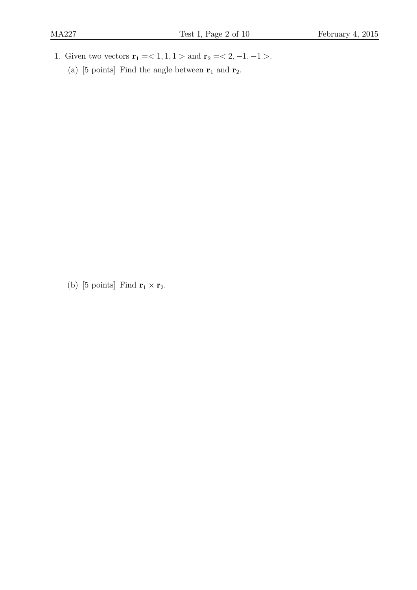- 1. Given two vectors  $r_1 = 1, 1, 1 >$  and  $r_2 = 2, -1, -1 >$ .
	- (a) [5 points] Find the angle between  $r_1$  and  $r_2$ .

(b) [5 points] Find  $\mathbf{r}_1 \times \mathbf{r}_2$ .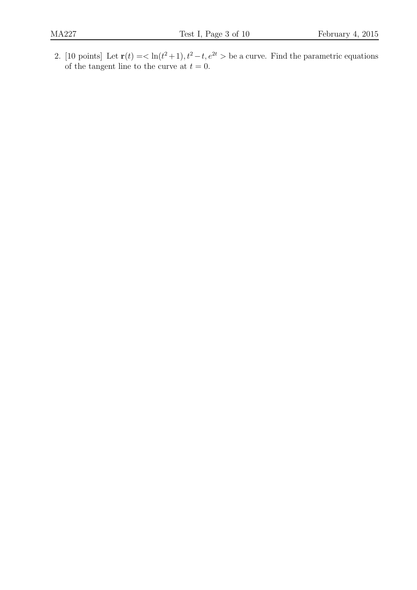2. [10 points] Let  $\mathbf{r}(t) = \langle \ln(t^2+1), t^2-t, e^{2t} \rangle$  be a curve. Find the parametric equations of the tangent line to the curve at  $t = 0$ .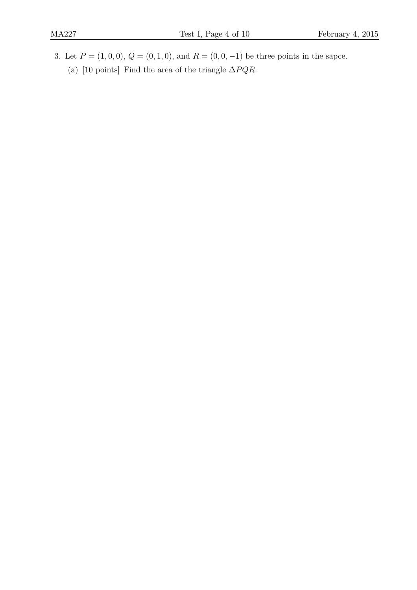3. Let  $P = (1, 0, 0), Q = (0, 1, 0),$  and  $R = (0, 0, -1)$  be three points in the sapce. (a) [10 points] Find the area of the triangle  $\Delta PQR$ .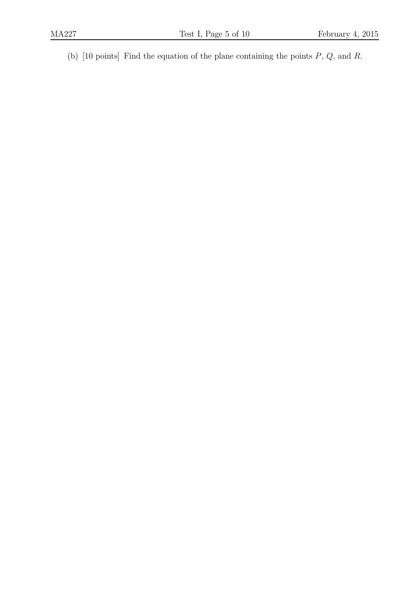(b) [10 points] Find the equation of the plane containing the points  $P$ ,  $Q$ , and  $R$ .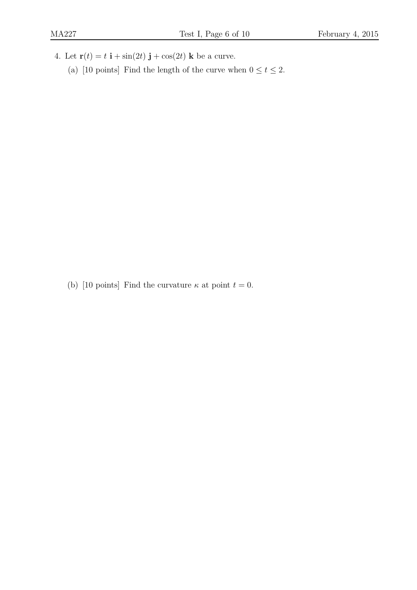- 4. Let  $\mathbf{r}(t) = t \mathbf{i} + \sin(2t) \mathbf{j} + \cos(2t) \mathbf{k}$  be a curve.
	- (a) [10 points] Find the length of the curve when  $0 \le t \le 2$ .

(b) [10 points] Find the curvature  $\kappa$  at point  $t = 0$ .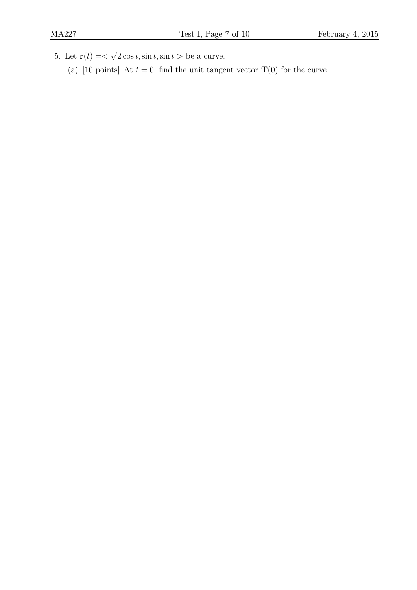- 5. Let  $\mathbf{r}(t) = \langle \sqrt{2} \cos t, \sin t, \sin t \rangle$  be a curve.
	- (a) [10 points] At  $t = 0$ , find the unit tangent vector  $\mathbf{T}(0)$  for the curve.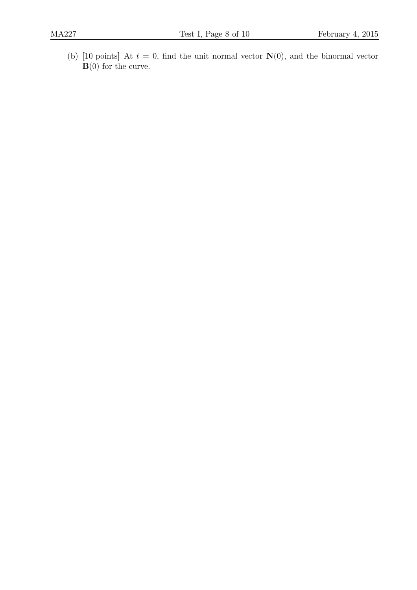(b) [10 points] At  $t = 0$ , find the unit normal vector  $N(0)$ , and the binormal vector  $\mathbf{B}(0)$  for the curve.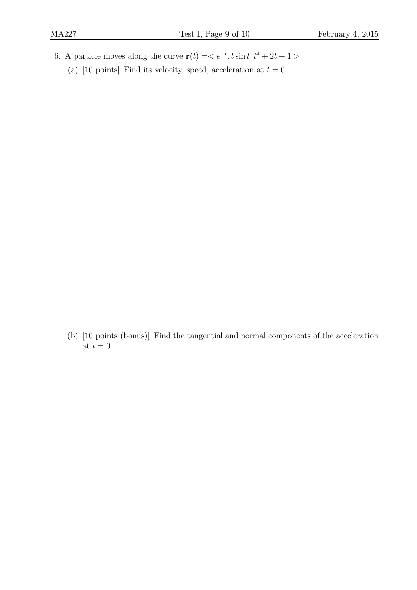- 6. A particle moves along the curve  $\mathbf{r}(t) = \langle e^{-t}, t \sin t, t^4 + 2t + 1 \rangle$ .
	- (a) [10 points] Find its velocity, speed, acceleration at  $t = 0$ .

(b) [10 points (bonus)] Find the tangential and normal components of the acceleration at  $t = 0$ .